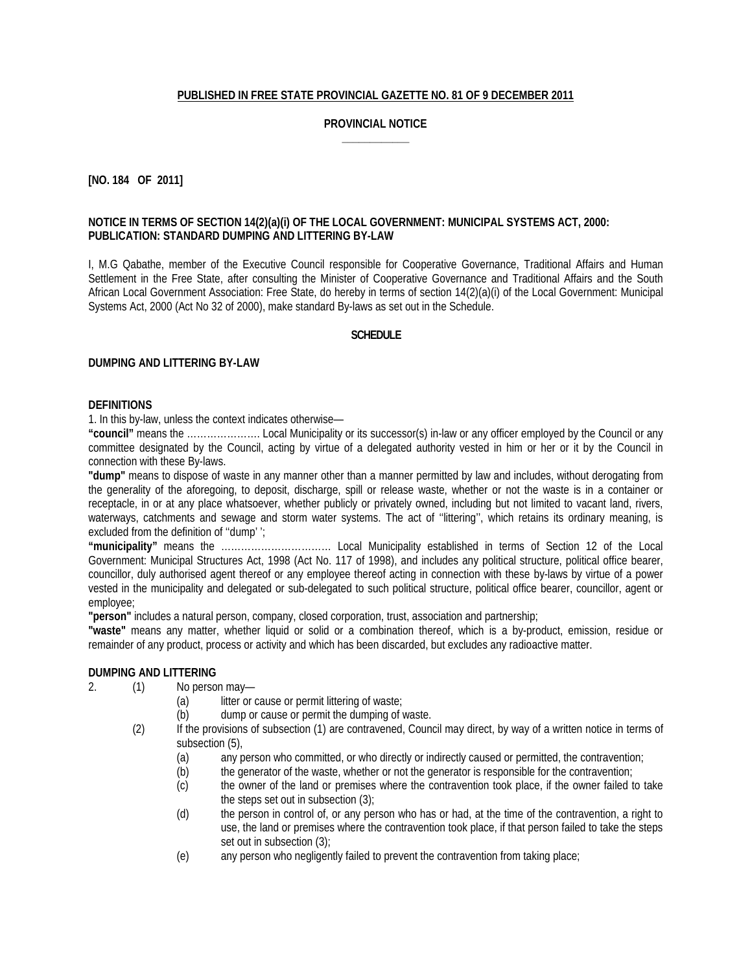## **PUBLISHED IN FREE STATE PROVINCIAL GAZETTE NO. 81 OF 9 DECEMBER 2011**

## **PROVINCIAL NOTICE \_\_\_\_\_\_\_\_\_\_\_\_**

## **[NO. 184 OF 2011]**

## **NOTICE IN TERMS OF SECTION 14(2)(a)(i) OF THE LOCAL GOVERNMENT: MUNICIPAL SYSTEMS ACT, 2000: PUBLICATION: STANDARD DUMPING AND LITTERING BY-LAW**

I, M.G Qabathe, member of the Executive Council responsible for Cooperative Governance, Traditional Affairs and Human Settlement in the Free State, after consulting the Minister of Cooperative Governance and Traditional Affairs and the South African Local Government Association: Free State, do hereby in terms of section 14(2)(a)(i) of the Local Government: Municipal Systems Act, 2000 (Act No 32 of 2000), make standard By-laws as set out in the Schedule.

#### **SCHEDULE**

#### **DUMPING AND LITTERING BY-LAW**

#### **DEFINITIONS**

1. In this by-law, unless the context indicates otherwise—

**"council"** means the …………………. Local Municipality or its successor(s) in-law or any officer employed by the Council or any committee designated by the Council, acting by virtue of a delegated authority vested in him or her or it by the Council in connection with these By-laws.

**"dump"** means to dispose of waste in any manner other than a manner permitted by law and includes, without derogating from the generality of the aforegoing, to deposit, discharge, spill or release waste, whether or not the waste is in a container or receptacle, in or at any place whatsoever, whether publicly or privately owned, including but not limited to vacant land, rivers, waterways, catchments and sewage and storm water systems. The act of ''littering'', which retains its ordinary meaning, is excluded from the definition of ''dump' ';

**"municipality"** means the …………………………… Local Municipality established in terms of Section 12 of the Local Government: Municipal Structures Act, 1998 (Act No. 117 of 1998), and includes any political structure, political office bearer, councillor, duly authorised agent thereof or any employee thereof acting in connection with these by-laws by virtue of a power vested in the municipality and delegated or sub-delegated to such political structure, political office bearer, councillor, agent or employee;

**"person"** includes a natural person, company, closed corporation, trust, association and partnership;

**"waste"** means any matter, whether liquid or solid or a combination thereof, which is a by-product, emission, residue or remainder of any product, process or activity and which has been discarded, but excludes any radioactive matter.

## **DUMPING AND LITTERING**

- 2. (1) No person may—
	- (a) litter or cause or permit littering of waste;
	- (b) dump or cause or permit the dumping of waste.
	- (2) If the provisions of subsection (1) are contravened, Council may direct, by way of a written notice in terms of subsection (5),
		- (a) any person who committed, or who directly or indirectly caused or permitted, the contravention;
		- (b) the generator of the waste, whether or not the generator is responsible for the contravention;
		- (c) the owner of the land or premises where the contravention took place, if the owner failed to take the steps set out in subsection (3);
		- (d) the person in control of, or any person who has or had, at the time of the contravention, a right to use, the land or premises where the contravention took place, if that person failed to take the steps set out in subsection (3);
		- (e) any person who negligently failed to prevent the contravention from taking place;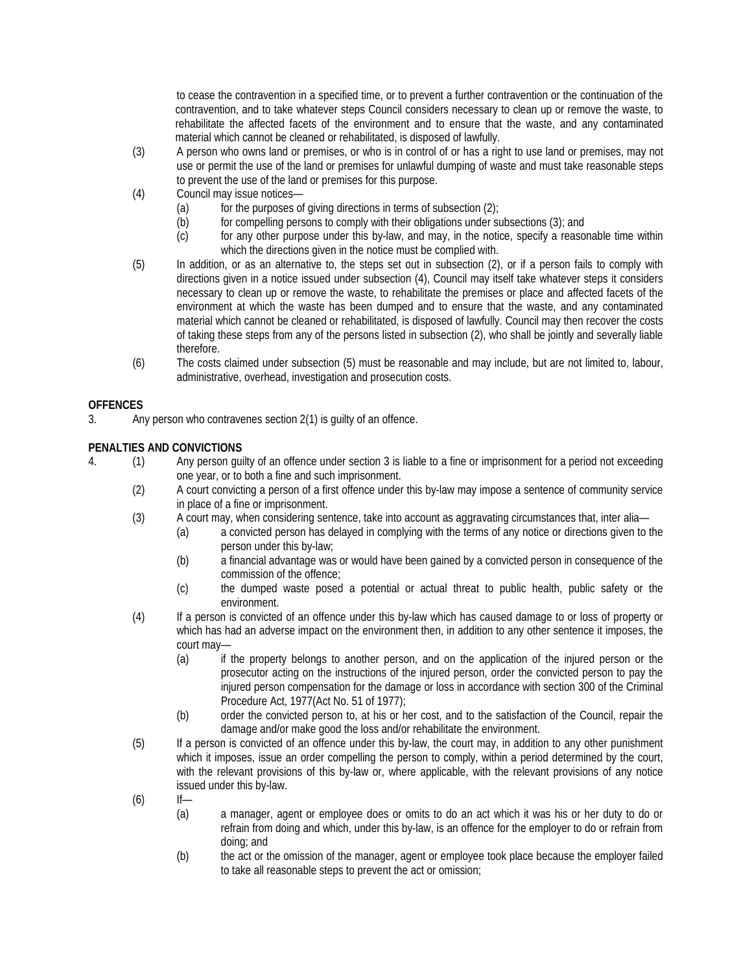to cease the contravention in a specified time, or to prevent a further contravention or the continuation of the contravention, and to take whatever steps Council considers necessary to clean up or remove the waste, to rehabilitate the affected facets of the environment and to ensure that the waste, and any contaminated material which cannot be cleaned or rehabilitated, is disposed of lawfully.

- (3) A person who owns land or premises, or who is in control of or has a right to use land or premises, may not use or permit the use of the land or premises for unlawful dumping of waste and must take reasonable steps to prevent the use of the land or premises for this purpose.
- (4) Council may issue notices—
	- (a) for the purposes of giving directions in terms of subsection  $(2)$ ;
	- (b) for compelling persons to comply with their obligations under subsections (3); and
	- (c) for any other purpose under this by-law, and may, in the notice, specify a reasonable time within which the directions given in the notice must be complied with.
- (5) In addition, or as an alternative to, the steps set out in subsection (2), or if a person fails to comply with directions given in a notice issued under subsection (4), Council may itself take whatever steps it considers necessary to clean up or remove the waste, to rehabilitate the premises or place and affected facets of the environment at which the waste has been dumped and to ensure that the waste, and any contaminated material which cannot be cleaned or rehabilitated, is disposed of lawfully. Council may then recover the costs of taking these steps from any of the persons listed in subsection (2), who shall be jointly and severally liable therefore.
- (6) The costs claimed under subsection (5) must be reasonable and may include, but are not limited to, labour, administrative, overhead, investigation and prosecution costs.

# **OFFENCES**

3. Any person who contravenes section 2(1) is guilty of an offence.

# **PENALTIES AND CONVICTIONS**

- 4. (1) Any person guilty of an offence under section 3 is liable to a fine or imprisonment for a period not exceeding one year, or to both a fine and such imprisonment.
	- (2) A court convicting a person of a first offence under this by-law may impose a sentence of community service in place of a fine or imprisonment.
	- (3) A court may, when considering sentence, take into account as aggravating circumstances that, inter alia—
		- (a) a convicted person has delayed in complying with the terms of any notice or directions given to the person under this by-law;
		- (b) a financial advantage was or would have been gained by a convicted person in consequence of the commission of the offence;
		- (c) the dumped waste posed a potential or actual threat to public health, public safety or the environment.
	- (4) If a person is convicted of an offence under this by-law which has caused damage to or loss of property or which has had an adverse impact on the environment then, in addition to any other sentence it imposes, the court may—
		- (a) if the property belongs to another person, and on the application of the injured person or the prosecutor acting on the instructions of the injured person, order the convicted person to pay the injured person compensation for the damage or loss in accordance with section 300 of the Criminal Procedure Act, 1977(Act No. 51 of 1977);
		- (b) order the convicted person to, at his or her cost, and to the satisfaction of the Council, repair the damage and/or make good the loss and/or rehabilitate the environment.
	- (5) If a person is convicted of an offence under this by-law, the court may, in addition to any other punishment which it imposes, issue an order compelling the person to comply, within a period determined by the court, with the relevant provisions of this by-law or, where applicable, with the relevant provisions of any notice issued under this by-law.
	- $(6)$  If—
		- (a) a manager, agent or employee does or omits to do an act which it was his or her duty to do or refrain from doing and which, under this by-law, is an offence for the employer to do or refrain from doing; and
		- (b) the act or the omission of the manager, agent or employee took place because the employer failed to take all reasonable steps to prevent the act or omission;